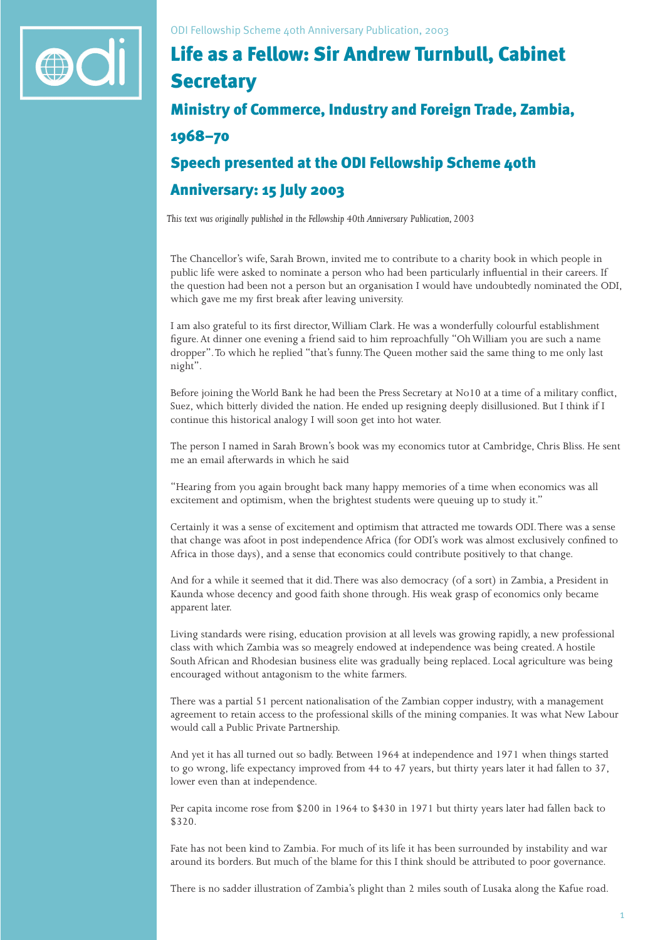

## Life as a Fellow: Sir Andrew Turnbull, Cabinet **Secretary**

## Ministry of Commerce, Industry and Foreign Trade, Zambia, 1968–70

## Speech presented at the ODI Fellowship Scheme 40th Anniversary: 15 July 2003

*This text was originally published in the Fellowship 40th Anniversary Publication, 2003*

The Chancellor's wife, Sarah Brown, invited me to contribute to a charity book in which people in public life were asked to nominate a person who had been particularly influential in their careers. If the question had been not a person but an organisation I would have undoubtedly nominated the ODI, which gave me my first break after leaving university.

I am also grateful to its first director, William Clark. He was a wonderfully colourful establishment figure. At dinner one evening a friend said to him reproachfully "Oh William you are such a name dropper". To which he replied "that's funny. The Queen mother said the same thing to me only last night".

Before joining the World Bank he had been the Press Secretary at No10 at a time of a military conflict, Suez, which bitterly divided the nation. He ended up resigning deeply disillusioned. But I think if I continue this historical analogy I will soon get into hot water.

The person I named in Sarah Brown's book was my economics tutor at Cambridge, Chris Bliss. He sent me an email afterwards in which he said

"Hearing from you again brought back many happy memories of a time when economics was all excitement and optimism, when the brightest students were queuing up to study it."

Certainly it was a sense of excitement and optimism that attracted me towards ODI. There was a sense that change was afoot in post independence Africa (for ODI's work was almost exclusively confined to Africa in those days), and a sense that economics could contribute positively to that change.

And for a while it seemed that it did. There was also democracy (of a sort) in Zambia, a President in Kaunda whose decency and good faith shone through. His weak grasp of economics only became apparent later.

Living standards were rising, education provision at all levels was growing rapidly, a new professional class with which Zambia was so meagrely endowed at independence was being created. A hostile South African and Rhodesian business elite was gradually being replaced. Local agriculture was being encouraged without antagonism to the white farmers.

There was a partial 51 percent nationalisation of the Zambian copper industry, with a management agreement to retain access to the professional skills of the mining companies. It was what New Labour would call a Public Private Partnership.

And yet it has all turned out so badly. Between 1964 at independence and 1971 when things started to go wrong, life expectancy improved from 44 to 47 years, but thirty years later it had fallen to 37, lower even than at independence.

Per capita income rose from \$200 in 1964 to \$430 in 1971 but thirty years later had fallen back to \$320.

Fate has not been kind to Zambia. For much of its life it has been surrounded by instability and war around its borders. But much of the blame for this I think should be attributed to poor governance.

There is no sadder illustration of Zambia's plight than 2 miles south of Lusaka along the Kafue road.